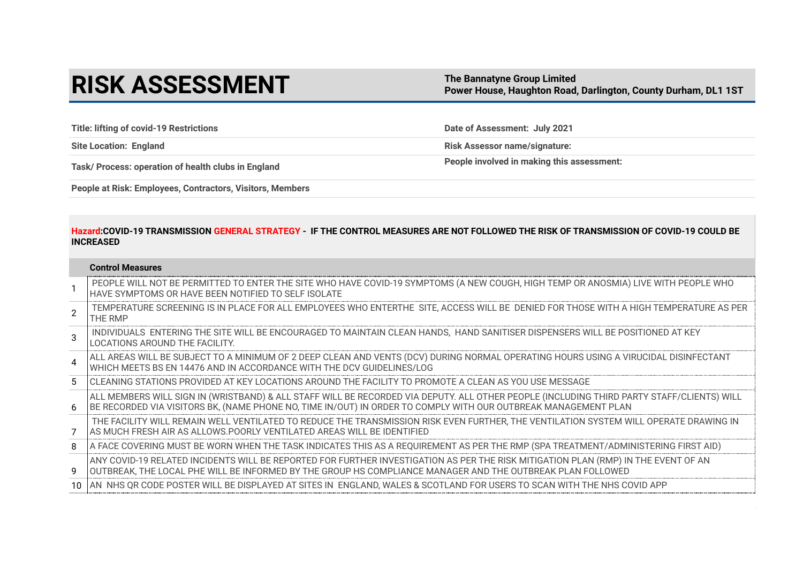# **RISK ASSESSMENT** The Bannatyne Group Limited

**Power House, Haughton Road, Darlington, County Durham, DL1 1ST** 

**Title: lifting of covid-19 Restrictions Date of Assessment: July 2021**

**Site Location: England Risk Assessor name/signature:**

Task/ Process: operation of health clubs in England **People involved in making this assessment:** 

**People at Risk: Employees, Contractors, Visitors, Members**

# **Hazard:COVID-19 TRANSMISSION GENERAL STRATEGY - IF THE CONTROL MEASURES ARE NOT FOLLOWED THE RISK OF TRANSMISSION OF COVID-19 COULD BE INCREASED**

| Control Measures |  |  |
|------------------|--|--|
| $P = Q P$        |  |  |

|                        | PEOPLE WILL NOT BE PERMITTED TO ENTER THE SITE WHO HAVE COVID-19 SYMPTOMS (A NEW COUGH, HIGH TEMP OR ANOSMIA) LIVE WITH PEOPLE WHO<br>HAVE SYMPTOMS OR HAVE BEEN NOTIFIED TO SELF ISOLATE                                                                   |
|------------------------|-------------------------------------------------------------------------------------------------------------------------------------------------------------------------------------------------------------------------------------------------------------|
| $\mathcal{P}$          | TEMPERATURE SCREENING IS IN PLACE FOR ALL EMPLOYEES WHO ENTERTHE SITE, ACCESS WILL BE DENIED FOR THOSE WITH A HIGH TEMPERATURE AS PER<br>THE RMP                                                                                                            |
| 3                      | INDIVIDUALS ENTERING THE SITE WILL BE ENCOURAGED TO MAINTAIN CLEAN HANDS, HAND SANITISER DISPENSERS WILL BE POSITIONED AT KEY<br>LOCATIONS AROUND THE FACILITY.                                                                                             |
| $\boldsymbol{\Lambda}$ | ALL AREAS WILL BE SUBJECT TO A MINIMUM OF 2 DEEP CLEAN AND VENTS (DCV) DURING NORMAL OPERATING HOURS USING A VIRUCIDAL DISINFECTANT <br>WHICH MEETS BS EN 14476 AND IN ACCORDANCE WITH THE DCV GUIDELINES/LOG                                               |
| 5                      | CLEANING STATIONS PROVIDED AT KEY LOCATIONS AROUND THE FACILITY TO PROMOTE A CLEAN AS YOU USE MESSAGE                                                                                                                                                       |
| 6                      | ALL MEMBERS WILL SIGN IN (WRISTBAND) & ALL STAFF WILL BE RECORDED VIA DEPUTY. ALL OTHER PEOPLE (INCLUDING THIRD PARTY STAFF/CLIENTS) WILL<br>BE RECORDED VIA VISITORS BK, (NAME PHONE NO, TIME IN/OUT) IN ORDER TO COMPLY WITH OUR OUTBREAK MANAGEMENT PLAN |
|                        | THE FACILITY WILL REMAIN WELL VENTILATED TO REDUCE THE TRANSMISSION RISK EVEN FURTHER, THE VENTILATION SYSTEM WILL OPERATE DRAWING IN<br>AS MUCH FRESH AIR AS ALLOWS.POORLY VENTILATED AREAS WILL BE IDENTIFIED                                             |
| 8                      | A FACE COVERING MUST BE WORN WHEN THE TASK INDICATES THIS AS A REQUIREMENT AS PER THE RMP (SPA TREATMENT/ADMINISTERING FIRST AID)                                                                                                                           |
| 9                      | ANY COVID-19 RELATED INCIDENTS WILL BE REPORTED FOR FURTHER INVESTIGATION AS PER THE RISK MITIGATION PLAN (RMP) IN THE EVENT OF AN \<br>OUTBREAK, THE LOCAL PHE WILL BE INFORMED BY THE GROUP HS COMPLIANCE MANAGER AND THE OUTBREAK PLAN FOLLOWED          |
| 10.                    | AN NHS OR CODE POSTER WILL BE DISPLAYED AT SITES IN ENGLAND, WALES & SCOTLAND FOR USERS TO SCAN WITH THE NHS COVID APP                                                                                                                                      |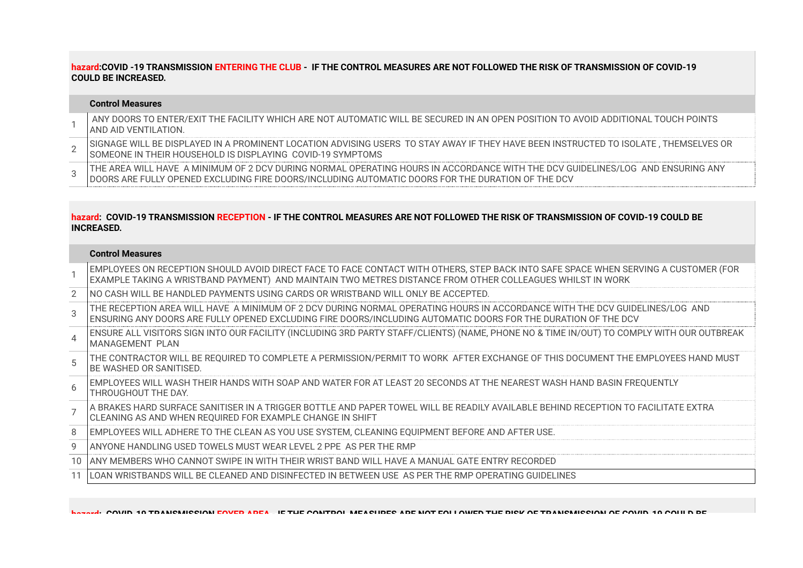# **hazard:COVID -19 TRANSMISSION ENTERING THE CLUB - IF THE CONTROL MEASURES ARE NOT FOLLOWED THE RISK OF TRANSMISSION OF COVID-19 COULD BE INCREASED.**

## **Control Measures**

- 1 ANY DOORS TO ENTER/EXIT THE FACILITY WHICH ARE NOT AUTOMATIC WILL BE SECURED IN AN OPEN POSITION TO AVOID ADDITIONAL TOUCH POINTS AND AID VENTILATION.
- 2 SIGNAGE WILL BE DISPLAYED IN A PROMINENT LOCATION ADVISING USERS TO STAY AWAY IF THEY HAVE BEEN INSTRUCTED TO ISOLATE , THEMSELVES OR SOMEONE IN THEIR HOUSEHOLD IS DISPLAYING COVID-19 SYMPTOMS
- 3 THE AREA WILL HAVE A MINIMUM OF 2 DCV DURING NORMAL OPERATING HOURS IN ACCORDANCE WITH THE DCV GUIDELINES/LOG AND ENSURING ANY DOORS ARE FULLY OPENED EXCLUDING FIRE DOORS/INCLUDING AUTOMATIC DOORS FOR THE DURATION OF THE DCV

## **hazard: COVID-19 TRANSMISSION RECEPTION - IF THE CONTROL MEASURES ARE NOT FOLLOWED THE RISK OF TRANSMISSION OF COVID-19 COULD BE INCREASED.**

## **Control Measures**

|               | EMPLOYEES ON RECEPTION SHOULD AVOID DIRECT FACE TO FACE CONTACT WITH OTHERS, STEP BACK INTO SAFE SPACE WHEN SERVING A CUSTOMER (FOR<br>EXAMPLE TAKING A WRISTBAND PAYMENT) AND MAINTAIN TWO METRES DISTANCE FROM OTHER COLLEAGUES WHILST IN WORK |
|---------------|--------------------------------------------------------------------------------------------------------------------------------------------------------------------------------------------------------------------------------------------------|
| 2             | INO CASH WILL BE HANDLED PAYMENTS USING CARDS OR WRISTBAND WILL ONLY BE ACCEPTED.                                                                                                                                                                |
| $\mathcal{R}$ | THE RECEPTION AREA WILL HAVE A MINIMUM OF 2 DCV DURING NORMAL OPERATING HOURS IN ACCORDANCE WITH THE DCV GUIDELINES/LOG AND<br>I ENSURING ANY DOORS ARE FULLY OPENED EXCLUDING FIRE DOORS/INCLUDING AUTOMATIC DOORS FOR THE DURATION OF THE DCV  |
| $\Delta$      | ENSURE ALL VISITORS SIGN INTO OUR FACILITY (INCLUDING 3RD PARTY STAFF/CLIENTS) (NAME, PHONE NO & TIME IN/OUT) TO COMPLY WITH OUR OUTBREAK<br>MANAGEMENT PLAN                                                                                     |
| 5             | THE CONTRACTOR WILL BE REQUIRED TO COMPLETE A PERMISSION/PERMIT TO WORK AFTER EXCHANGE OF THIS DOCUMENT THE EMPLOYEES HAND MUST<br>BE WASHED OR SANITISED.                                                                                       |
| $6^{6}$       | EMPLOYEES WILL WASH THEIR HANDS WITH SOAP AND WATER FOR AT LEAST 20 SECONDS AT THE NEAREST WASH HAND BASIN FREQUENTLY<br>THROUGHOUT THE DAY.                                                                                                     |
|               | A BRAKES HARD SURFACE SANITISER IN A TRIGGER BOTTLE AND PAPER TOWEL WILL BE READILY AVAILABLE BEHIND RECEPTION TO FACILITATE EXTRA<br>CLEANING AS AND WHEN REOUIRED FOR EXAMPLE CHANGE IN SHIFT                                                  |
| 8             | EMPLOYEES WILL ADHERE TO THE CLEAN AS YOU USE SYSTEM, CLEANING EQUIPMENT BEFORE AND AFTER USE.                                                                                                                                                   |
| 9             | ANYONE HANDLING USED TOWELS MUST WEAR LEVEL 2 PPE AS PER THE RMP                                                                                                                                                                                 |
| 10            | LANY MEMBERS WHO CANNOT SWIPE IN WITH THEIR WRIST BAND WILL HAVE A MANUAL GATE ENTRY RECORDED                                                                                                                                                    |
|               | LOAN WRISTBANDS WILL BE CLEANED AND DISINFECTED IN BETWEEN USE AS PER THE RMP OPERATING GUIDELINES                                                                                                                                               |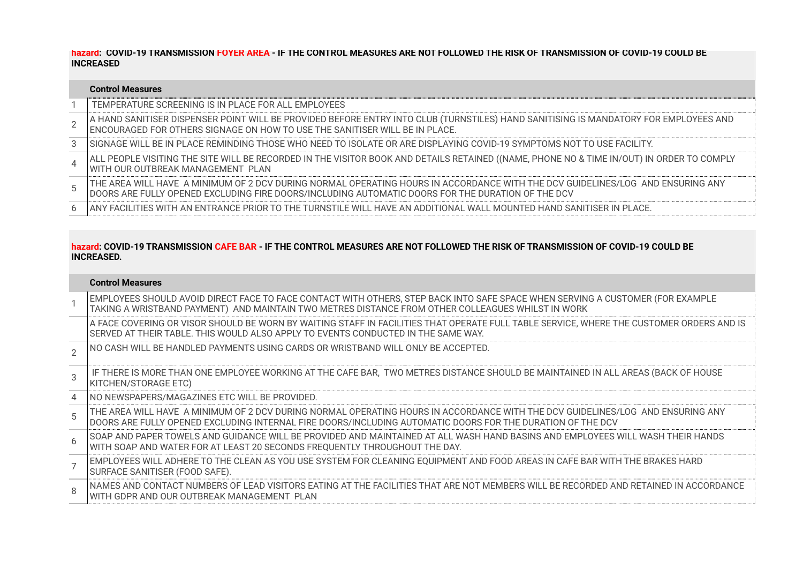**hazard: COVID-19 TRANSMISSION FOYER AREA - IF THE CONTROL MEASURES ARE NOT FOLLOWED THE RISK OF TRANSMISSION OF COVID-19 COULD BE INCREASED**

## **Control Measures**  1 TEMPERATURE SCREENING IS IN PLACE FOR ALL EMPLOYEES  $\mathcal{L}$ A HAND SANITISER DISPENSER POINT WILL BE PROVIDED BEFORE ENTRY INTO CLUB (TURNSTILES) HAND SANITISING IS MANDATORY FOR EMPLOYEES AND ENCOURAGED FOR OTHERS SIGNAGE ON HOW TO USE THE SANITISER WILL BE IN PLACE. 3 SIGNAGE WILL BE IN PLACE REMINDING THOSE WHO NEED TO ISOLATE OR ARE DISPLAYING COVID-19 SYMPTOMS NOT TO USE FACILITY. 4 ALL PEOPLE VISITING THE SITE WILL BE RECORDED IN THE VISITOR BOOK AND DETAILS RETAINED ((NAME, PHONE NO & TIME IN/OUT) IN ORDER TO COMPLY WITH OUR OUTBREAK MANAGEMENT PLAN 5 THE AREA WILL HAVE A MINIMUM OF 2 DCV DURING NORMAL OPERATING HOURS IN ACCORDANCE WITH THE DCV GUIDELINES/LOG AND ENSURING ANY DOORS ARE FULLY OPENED EXCLUDING FIRE DOORS/INCLUDING AUTOMATIC DOORS FOR THE DURATION OF THE DCV 6 ANY FACILITIES WITH AN ENTRANCE PRIOR TO THE TURNSTILE WILL HAVE AN ADDITIONAL WALL MOUNTED HAND SANITISER IN PLACE.

# **hazard: COVID-19 TRANSMISSION CAFE BAR - IF THE CONTROL MEASURES ARE NOT FOLLOWED THE RISK OF TRANSMISSION OF COVID-19 COULD BE INCREASED.**

## **Control Measures**

|                | EMPLOYEES SHOULD AVOID DIRECT FACE TO FACE CONTACT WITH OTHERS, STEP BACK INTO SAFE SPACE WHEN SERVING A CUSTOMER (FOR EXAMPLE)<br>TAKING A WRISTBAND PAYMENT) AND MAINTAIN TWO METRES DISTANCE FROM OTHER COLLEAGUES WHILST IN WORK          |
|----------------|-----------------------------------------------------------------------------------------------------------------------------------------------------------------------------------------------------------------------------------------------|
|                | A FACE COVERING OR VISOR SHOULD BE WORN BY WAITING STAFF IN FACILITIES THAT OPERATE FULL TABLE SERVICE, WHERE THE CUSTOMER ORDERS AND IS<br>SERVED AT THEIR TABLE. THIS WOULD ALSO APPLY TO EVENTS CONDUCTED IN THE SAME WAY.                 |
| $\overline{2}$ | INO CASH WILL BE HANDLED PAYMENTS USING CARDS OR WRISTBAND WILL ONLY BE ACCEPTED.                                                                                                                                                             |
| 3              | IF THERE IS MORE THAN ONE EMPLOYEE WORKING AT THE CAFE BAR, TWO METRES DISTANCE SHOULD BE MAINTAINED IN ALL AREAS (BACK OF HOUSE<br>KITCHEN/STORAGE ETC)                                                                                      |
| 4              | INO NEWSPAPERS/MAGAZINES ETC WILL BE PROVIDED.                                                                                                                                                                                                |
| 5              | THE AREA WILL HAVE A MINIMUM OF 2 DCV DURING NORMAL OPERATING HOURS IN ACCORDANCE WITH THE DCV GUIDELINES/LOG AND ENSURING ANY<br>IDOORS ARE FULLY OPENED EXCLUDING INTERNAL FIRE DOORS/INCLUDING AUTOMATIC DOORS FOR THE DURATION OF THE DCV |
| 6              | ISOAP AND PAPER TOWELS AND GUIDANCE WILL BE PROVIDED AND MAINTAINED AT ALL WASH HAND BASINS AND EMPLOYEES WILL WASH THEIR HANDS<br>WITH SOAP AND WATER FOR AT LEAST 20 SECONDS FREQUENTLY THROUGHOUT THE DAY.                                 |
|                | EMPLOYEES WILL ADHERE TO THE CLEAN AS YOU USE SYSTEM FOR CLEANING EQUIPMENT AND FOOD AREAS IN CAFE BAR WITH THE BRAKES HARD<br>SURFACE SANITISER (FOOD SAFE).                                                                                 |
| $\mathsf{R}$   | NAMES AND CONTACT NUMBERS OF LEAD VISITORS EATING AT THE FACILITIES THAT ARE NOT MEMBERS WILL BE RECORDED AND RETAINED IN ACCORDANCE<br>WITH GDPR AND OUR OUTBREAK MANAGEMENT PLAN                                                            |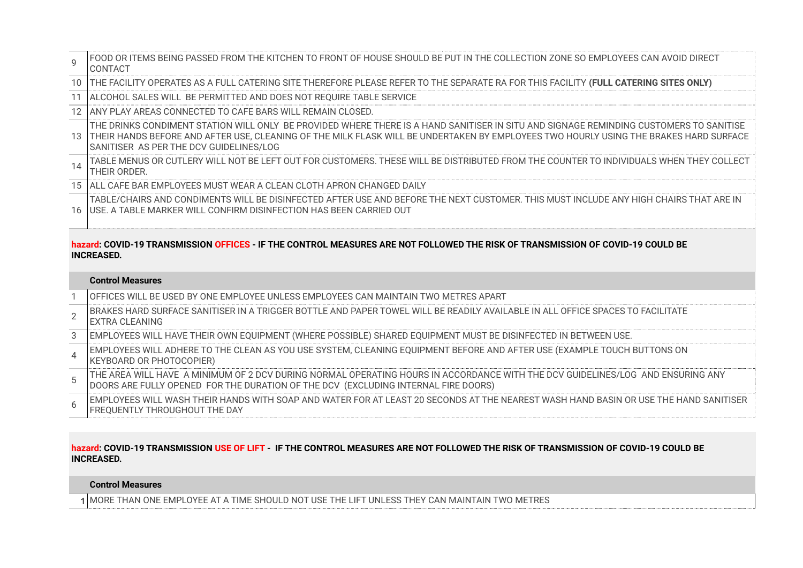| $\mathsf{Q}$    | FOOD OR ITEMS BEING PASSED FROM THE KITCHEN TO FRONT OF HOUSE SHOULD BE PUT IN THE COLLECTION ZONE SO EMPLOYEES CAN AVOID DIRECT<br><b>CONTACT</b>                                                                                                                                                                         |
|-----------------|----------------------------------------------------------------------------------------------------------------------------------------------------------------------------------------------------------------------------------------------------------------------------------------------------------------------------|
| $10-1$          | THE FACILITY OPERATES AS A FULL CATERING SITE THEREFORE PLEASE REFER TO THE SEPARATE RA FOR THIS FACILITY (FULL CATERING SITES ONLY)                                                                                                                                                                                       |
|                 | 11   ALCOHOL SALES WILL BE PERMITTED AND DOES NOT REQUIRE TABLE SERVICE                                                                                                                                                                                                                                                    |
|                 | 12 JANY PLAY AREAS CONNECTED TO CAFE BARS WILL REMAIN CLOSED.                                                                                                                                                                                                                                                              |
| 13 I            | THE DRINKS CONDIMENT STATION WILL ONLY BE PROVIDED WHERE THERE IS A HAND SANITISER IN SITU AND SIGNAGE REMINDING CUSTOMERS TO SANITISE<br>THEIR HANDS BEFORE AND AFTER USE, CLEANING OF THE MILK FLASK WILL BE UNDERTAKEN BY EMPLOYEES TWO HOURLY USING THE BRAKES HARD SURFACE<br>SANITISER AS PER THE DCV GUIDELINES/LOG |
| 14              | TABLE MENUS OR CUTLERY WILL NOT BE LEFT OUT FOR CUSTOMERS. THESE WILL BE DISTRIBUTED FROM THE COUNTER TO INDIVIDUALS WHEN THEY COLLECT<br>THEIR ORDER.                                                                                                                                                                     |
| 15 <sub>1</sub> | ALL CAFE BAR EMPLOYEES MUST WEAR A CLEAN CLOTH APRON CHANGED DAILY                                                                                                                                                                                                                                                         |
| 16 <sub>1</sub> | I TABLE/CHAIRS AND CONDIMENTS WILL BE DISINFECTED AFTER USE AND BEFORE THE NEXT CUSTOMER. THIS MUST INCLUDE ANY HIGH CHAIRS THAT ARE IN<br>IUSE. A TABLE MARKER WILL CONFIRM DISINFECTION HAS BEEN CARRIED OUT                                                                                                             |

# **hazard: COVID-19 TRANSMISSION OFFICES - IF THE CONTROL MEASURES ARE NOT FOLLOWED THE RISK OF TRANSMISSION OF COVID-19 COULD BE INCREASED.**

#### **Control Measures**  1 OFFICES WILL BE USED BY ONE EMPLOYEE UNLESS EMPLOYEES CAN MAINTAIN TWO METRES APART 2 BRAKES HARD SURFACE SANITISER IN A TRIGGER BOTTLE AND PAPER TOWEL WILL BE READILY AVAILABLE IN ALL OFFICE SPACES TO FACILITATE EXTRA CLEANING 3 EMPLOYEES WILL HAVE THEIR OWN EQUIPMENT (WHERE POSSIBLE) SHARED EQUIPMENT MUST BE DISINFECTED IN BETWEEN USE. 4 EMPLOYEES WILL ADHERE TO THE CLEAN AS YOU USE SYSTEM, CLEANING EQUIPMENT BEFORE AND AFTER USE (EXAMPLE TOUCH BUTTONS ON KEYBOARD OR PHOTOCOPIER) 5 THE AREA WILL HAVE A MINIMUM OF 2 DCV DURING NORMAL OPERATING HOURS IN ACCORDANCE WITH THE DCV GUIDELINES/LOG AND ENSURING ANY DOORS ARE FULLY OPENED FOR THE DURATION OF THE DCV (EXCLUDING INTERNAL FIRE DOORS) 6 EMPLOYEES WILL WASH THEIR HANDS WITH SOAP AND WATER FOR AT LEAST 20 SECONDS AT THE NEAREST WASH HAND BASIN OR USE THE HAND SANITISER FREQUENTLY THROUGHOUT THE DAY

# **hazard: COVID-19 TRANSMISSION USE OF LIFT - IF THE CONTROL MEASURES ARE NOT FOLLOWED THE RISK OF TRANSMISSION OF COVID-19 COULD BE INCREASED.**

# **Control Measures**

1 MORE THAN ONE EMPLOYEE AT A TIME SHOULD NOT USE THE LIFT UNLESS THEY CAN MAINTAIN TWO METRES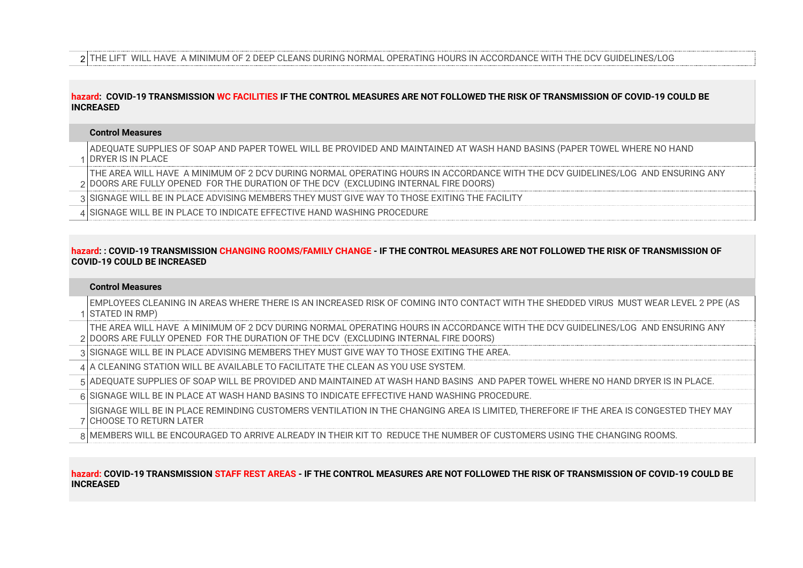2 THE LIFT WILL HAVE A MINIMUM OF 2 DEEP CLEANS DURING NORMAL OPERATING HOURS IN ACCORDANCE WITH THE DCV GUIDELINES/LOG

## **hazard: COVID-19 TRANSMISSION WC FACILITIES IF THE CONTROL MEASURES ARE NOT FOLLOWED THE RISK OF TRANSMISSION OF COVID-19 COULD BE INCREASED**

## **Control Measures**

1 DRYER IS IN PLACE ADEQUATE SUPPLIES OF SOAP AND PAPER TOWEL WILL BE PROVIDED AND MAINTAINED AT WASH HAND BASINS (PAPER TOWEL WHERE NO HAND

2 DOORS ARE FULLY OPENED FOR THE DURATION OF THE DCV (EXCLUDING INTERNAL FIRE DOORS) THE AREA WILL HAVE A MINIMUM OF 2 DCV DURING NORMAL OPERATING HOURS IN ACCORDANCE WITH THE DCV GUIDELINES/LOG AND ENSURING ANY

3 SIGNAGE WILL BE IN PLACE ADVISING MEMBERS THEY MUST GIVE WAY TO THOSE EXITING THE FACILITY

4 SIGNAGE WILL BE IN PLACE TO INDICATE EFFECTIVE HAND WASHING PROCEDURE

## **hazard: : COVID-19 TRANSMISSION CHANGING ROOMS/FAMILY CHANGE - IF THE CONTROL MEASURES ARE NOT FOLLOWED THE RISK OF TRANSMISSION OF COVID-19 COULD BE INCREASED**

## **Control Measures**

1 STATED IN RMP) EMPLOYEES CLEANING IN AREAS WHERE THERE IS AN INCREASED RISK OF COMING INTO CONTACT WITH THE SHEDDED VIRUS MUST WEAR LEVEL 2 PPE (AS

2 DOORS ARE FULLY OPENED FOR THE DURATION OF THE DCV (EXCLUDING INTERNAL FIRE DOORS) THE AREA WILL HAVE A MINIMUM OF 2 DCV DURING NORMAL OPERATING HOURS IN ACCORDANCE WITH THE DCV GUIDELINES/LOG AND ENSURING ANY

3 SIGNAGE WILL BE IN PLACE ADVISING MEMBERS THEY MUST GIVE WAY TO THOSE EXITING THE AREA.

4 A CLEANING STATION WILL BE AVAILABLE TO FACILITATE THE CLEAN AS YOU USE SYSTEM.

5 ADEQUATE SUPPLIES OF SOAP WILL BE PROVIDED AND MAINTAINED AT WASH HAND BASINS AND PAPER TOWEL WHERE NO HAND DRYER IS IN PLACE.

6 SIGNAGE WILL BE IN PLACE AT WASH HAND BASINS TO INDICATE EFFECTIVE HAND WASHING PROCEDURE.

7 CHOOSE TO RETURN LATER SIGNAGE WILL BE IN PLACE REMINDING CUSTOMERS VENTILATION IN THE CHANGING AREA IS LIMITED, THEREFORE IF THE AREA IS CONGESTED THEY MAY

8 MEMBERS WILL BE ENCOURAGED TO ARRIVE ALREADY IN THEIR KIT TO REDUCE THE NUMBER OF CUSTOMERS USING THE CHANGING ROOMS.

# **hazard: COVID-19 TRANSMISSION STAFF REST AREAS - IF THE CONTROL MEASURES ARE NOT FOLLOWED THE RISK OF TRANSMISSION OF COVID-19 COULD BE INCREASED**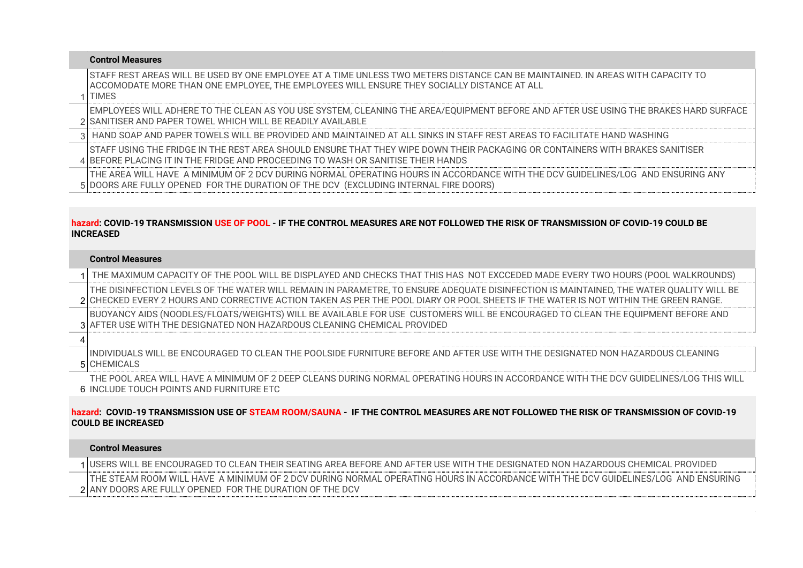| <b>Control Measures</b>                                                                                                                                                                                                                   |
|-------------------------------------------------------------------------------------------------------------------------------------------------------------------------------------------------------------------------------------------|
| STAFF REST AREAS WILL BE USED BY ONE EMPLOYEE AT A TIME UNLESS TWO METERS DISTANCE CAN BE MAINTAINED. IN AREAS WITH CAPACITY TO<br>TACCOMODATE MORE THAN ONE EMPLOYEE, THE EMPLOYEES WILL ENSURE THEY SOCIALLY DISTANCE AT ALL<br>1 TIMES |
| EMPLOYEES WILL ADHERE TO THE CLEAN AS YOU USE SYSTEM, CLEANING THE AREA/EQUIPMENT BEFORE AND AFTER USE USING THE BRAKES HARD SURFACE<br>2 SANITISER AND PAPER TOWEL WHICH WILL BE READILY AVAILABLE                                       |
| 3 HAND SOAP AND PAPER TOWELS WILL BE PROVIDED AND MAINTAINED AT ALL SINKS IN STAFF REST AREAS TO FACILITATE HAND WASHING                                                                                                                  |
| ISTAFF USING THE FRIDGE IN THE REST AREA SHOULD ENSURE THAT THEY WIPE DOWN THEIR PACKAGING OR CONTAINERS WITH BRAKES SANITISER<br>4 BEFORE PLACING IT IN THE FRIDGE AND PROCEEDING TO WASH OR SANITISE THEIR HANDS                        |
| THE AREA WILL HAVE A MINIMUM OF 2 DCV DURING NORMAL OPERATING HOURS IN ACCORDANCE WITH THE DCV GUIDELINES/LOG AND ENSURING ANY<br>5 DOORS ARE FULLY OPENED FOR THE DURATION OF THE DCV (EXCLUDING INTERNAL FIRE DOORS)                    |

# **hazard: COVID-19 TRANSMISSION USE OF POOL - IF THE CONTROL MEASURES ARE NOT FOLLOWED THE RISK OF TRANSMISSION OF COVID-19 COULD BE INCREASED**

# **Control Measures**

1 THE MAXIMUM CAPACITY OF THE POOL WILL BE DISPLAYED AND CHECKS THAT THIS HAS NOT EXCCEDED MADE EVERY TWO HOURS (POOL WALKROUNDS)

2 CHECKED EVERY 2 HOURS AND CORRECTIVE ACTION TAKEN AS PER THE POOL DIARY OR POOL SHEETS IF THE WATER IS NOT WITHIN THE GREEN RANGE. THE DISINFECTION LEVELS OF THE WATER WILL REMAIN IN PARAMETRE, TO ENSURE ADEQUATE DISINFECTION IS MAINTAINED, THE WATER QUALITY WILL BE

3 AFTER USE WITH THE DESIGNATED NON HAZARDOUS CLEANING CHEMICAL PROVIDED BUOYANCY AIDS (NOODLES/FLOATS/WEIGHTS) WILL BE AVAILABLE FOR USE CUSTOMERS WILL BE ENCOURAGED TO CLEAN THE EQUIPMENT BEFORE AND

4

5 CHEMICALS INDIVIDUALS WILL BE ENCOURAGED TO CLEAN THE POOLSIDE FURNITURE BEFORE AND AFTER USE WITH THE DESIGNATED NON HAZARDOUS CLEANING

6 INCLUDE TOUCH POINTS AND FURNITURE ETC THE POOL AREA WILL HAVE A MINIMUM OF 2 DEEP CLEANS DURING NORMAL OPERATING HOURS IN ACCORDANCE WITH THE DCV GUIDELINES/LOG THIS WILL

# **hazard: COVID-19 TRANSMISSION USE OF STEAM ROOM/SAUNA - IF THE CONTROL MEASURES ARE NOT FOLLOWED THE RISK OF TRANSMISSION OF COVID-19 COULD BE INCREASED**

## **Control Measures**

1 USERS WILL BE ENCOURAGED TO CLEAN THEIR SEATING AREA BEFORE AND AFTER USE WITH THE DESIGNATED NON HAZARDOUS CHEMICAL PROVIDED 2 ANY DOORS ARE FULLY OPENED FOR THE DURATION OF THE DCV THE STEAM ROOM WILL HAVE A MINIMUM OF 2 DCV DURING NORMAL OPERATING HOURS IN ACCORDANCE WITH THE DCV GUIDELINES/LOG AND ENSURING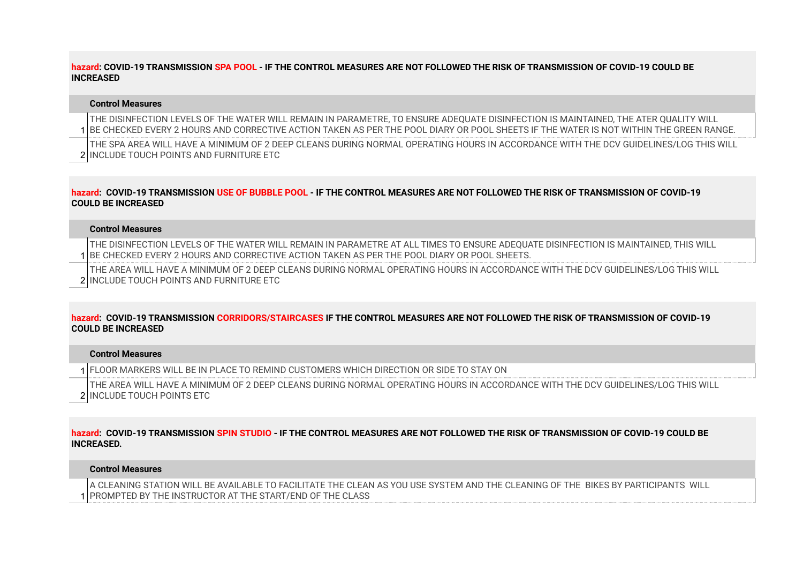# **hazard: COVID-19 TRANSMISSION SPA POOL - IF THE CONTROL MEASURES ARE NOT FOLLOWED THE RISK OF TRANSMISSION OF COVID-19 COULD BE INCREASED**

## **Control Measures**

1 BE CHECKED EVERY 2 HOURS AND CORRECTIVE ACTION TAKEN AS PER THE POOL DIARY OR POOL SHEETS IF THE WATER IS NOT WITHIN THE GREEN RANGE. THE DISINFECTION LEVELS OF THE WATER WILL REMAIN IN PARAMETRE, TO ENSURE ADEQUATE DISINFECTION IS MAINTAINED, THE ATER QUALITY WILL

2 INCLUDE TOUCH POINTS AND FURNITURE ETC THE SPA AREA WILL HAVE A MINIMUM OF 2 DEEP CLEANS DURING NORMAL OPERATING HOURS IN ACCORDANCE WITH THE DCV GUIDELINES/LOG THIS WILL

# **hazard: COVID-19 TRANSMISSION USE OF BUBBLE POOL - IF THE CONTROL MEASURES ARE NOT FOLLOWED THE RISK OF TRANSMISSION OF COVID-19 COULD BE INCREASED**

#### **Control Measures**

1 BE CHECKED EVERY 2 HOURS AND CORRECTIVE ACTION TAKEN AS PER THE POOL DIARY OR POOL SHEETS. THE DISINFECTION LEVELS OF THE WATER WILL REMAIN IN PARAMETRE AT ALL TIMES TO ENSURE ADEQUATE DISINFECTION IS MAINTAINED, THIS WILL

2 INCLUDE TOUCH POINTS AND FURNITURE ETC THE AREA WILL HAVE A MINIMUM OF 2 DEEP CLEANS DURING NORMAL OPERATING HOURS IN ACCORDANCE WITH THE DCV GUIDELINES/LOG THIS WILL

## **hazard: COVID-19 TRANSMISSION CORRIDORS/STAIRCASES IF THE CONTROL MEASURES ARE NOT FOLLOWED THE RISK OF TRANSMISSION OF COVID-19 COULD BE INCREASED**

#### **Control Measures**

1 FLOOR MARKERS WILL BE IN PLACE TO REMIND CUSTOMERS WHICH DIRECTION OR SIDE TO STAY ON

2 INCLUDE TOUCH POINTS ETC THE AREA WILL HAVE A MINIMUM OF 2 DEEP CLEANS DURING NORMAL OPERATING HOURS IN ACCORDANCE WITH THE DCV GUIDELINES/LOG THIS WILL

#### **hazard: COVID-19 TRANSMISSION SPIN STUDIO - IF THE CONTROL MEASURES ARE NOT FOLLOWED THE RISK OF TRANSMISSION OF COVID-19 COULD BE INCREASED.**

#### **Control Measures**

1 PROMPTED BY THE INSTRUCTOR AT THE START/END OF THE CLASSA CLEANING STATION WILL BE AVAILABLE TO FACILITATE THE CLEAN AS YOU USE SYSTEM AND THE CLEANING OF THE BIKES BY PARTICIPANTS WILL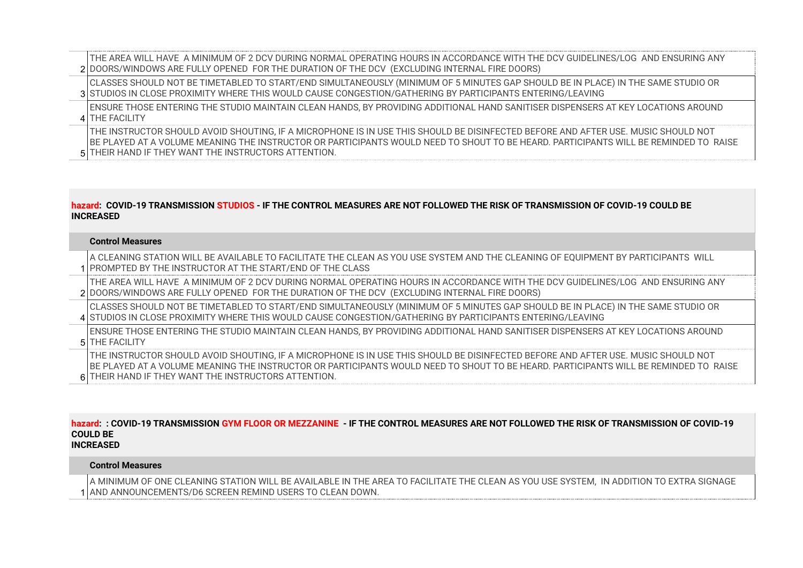2 DOORS/WINDOWS ARE FULLY OPENED FOR THE DURATION OF THE DCV (EXCLUDING INTERNAL FIRE DOORS) THE AREA WILL HAVE A MINIMUM OF 2 DCV DURING NORMAL OPERATING HOURS IN ACCORDANCE WITH THE DCV GUIDELINES/LOG AND ENSURING ANY

3 STUDIOS IN CLOSE PROXIMITY WHERE THIS WOULD CAUSE CONGESTION/GATHERING BY PARTICIPANTS ENTERING/LEAVING CLASSES SHOULD NOT BE TIMETABLED TO START/END SIMULTANEOUSLY (MINIMUM OF 5 MINUTES GAP SHOULD BE IN PLACE) IN THE SAME STUDIO OR

4 THE FACILITY ENSURE THOSE ENTERING THE STUDIO MAINTAIN CLEAN HANDS, BY PROVIDING ADDITIONAL HAND SANITISER DISPENSERS AT KEY LOCATIONS AROUND

5 THEIR HAND IF THEY WANT THE INSTRUCTORS ATTENTION. THE INSTRUCTOR SHOULD AVOID SHOUTING, IF A MICROPHONE IS IN USE THIS SHOULD BE DISINFECTED BEFORE AND AFTER USE. MUSIC SHOULD NOT BE PLAYED AT A VOLUME MEANING THE INSTRUCTOR OR PARTICIPANTS WOULD NEED TO SHOUT TO BE HEARD. PARTICIPANTS WILL BE REMINDED TO RAISE

# **hazard: COVID-19 TRANSMISSION STUDIOS - IF THE CONTROL MEASURES ARE NOT FOLLOWED THE RISK OF TRANSMISSION OF COVID-19 COULD BE INCREASED**

## **Control Measures**

1 PROMPTED BY THE INSTRUCTOR AT THE START/END OF THE CLASS A CLEANING STATION WILL BE AVAILABLE TO FACILITATE THE CLEAN AS YOU USE SYSTEM AND THE CLEANING OF EQUIPMENT BY PARTICIPANTS WILL

2 DOORS/WINDOWS ARE FULLY OPENED FOR THE DURATION OF THE DCV (EXCLUDING INTERNAL FIRE DOORS) THE AREA WILL HAVE A MINIMUM OF 2 DCV DURING NORMAL OPERATING HOURS IN ACCORDANCE WITH THE DCV GUIDELINES/LOG AND ENSURING ANY

4 STUDIOS IN CLOSE PROXIMITY WHERE THIS WOULD CAUSE CONGESTION/GATHERING BY PARTICIPANTS ENTERING/LEAVING CLASSES SHOULD NOT BE TIMETABLED TO START/END SIMULTANEOUSLY (MINIMUM OF 5 MINUTES GAP SHOULD BE IN PLACE) IN THE SAME STUDIO OR

5 THE FACILITY ENSURE THOSE ENTERING THE STUDIO MAINTAIN CLEAN HANDS, BY PROVIDING ADDITIONAL HAND SANITISER DISPENSERS AT KEY LOCATIONS AROUND

6 THEIR HAND IF THEY WANT THE INSTRUCTORS ATTENTION. THE INSTRUCTOR SHOULD AVOID SHOUTING, IF A MICROPHONE IS IN USE THIS SHOULD BE DISINFECTED BEFORE AND AFTER USE. MUSIC SHOULD NOT BE PLAYED AT A VOLUME MEANING THE INSTRUCTOR OR PARTICIPANTS WOULD NEED TO SHOUT TO BE HEARD. PARTICIPANTS WILL BE RFMINDFD TO RAISF

#### **hazard: : COVID-19 TRANSMISSION GYM FLOOR OR MEZZANINE - IF THE CONTROL MEASURES ARE NOT FOLLOWED THE RISK OF TRANSMISSION OF COVID-19 COULD BE INCREASED**

# **Control Measures**

1 AND ANNOUNCEMENTS/D6 SCREEN REMIND USERS TO CLEAN DOWN.A MINIMUM OF ONE CLEANING STATION WILL BE AVAILABLE IN THE AREA TO FACILITATE THE CLEAN AS YOU USE SYSTEM, IN ADDITION TO EXTRA SIGNAGE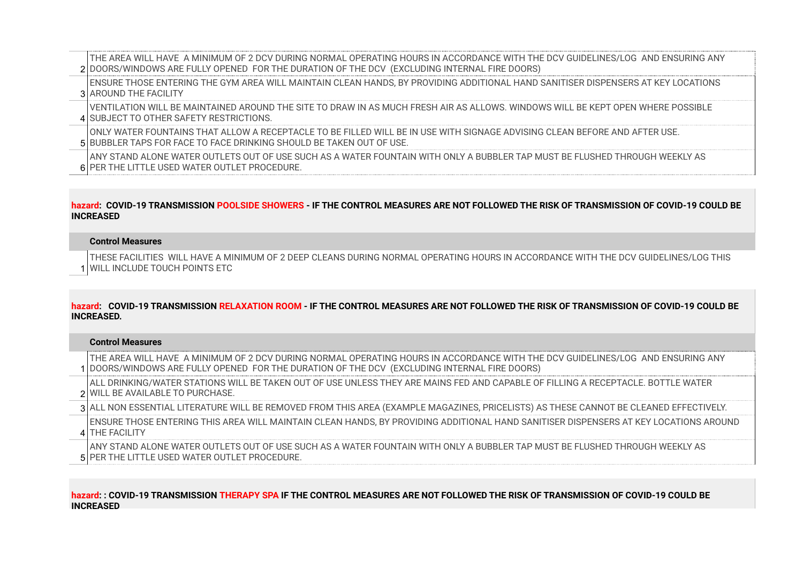2 DOORS/WINDOWS ARE FULLY OPENED FOR THE DURATION OF THE DCV (EXCLUDING INTERNAL FIRE DOORS) THE AREA WILL HAVE A MINIMUM OF 2 DCV DURING NORMAL OPERATING HOURS IN ACCORDANCE WITH THE DCV GUIDELINES/LOG AND ENSURING ANY

3 AROUND THE FACILITY ENSURE THOSE ENTERING THE GYM AREA WILL MAINTAIN CLEAN HANDS, BY PROVIDING ADDITIONAL HAND SANITISER DISPENSERS AT KEY LOCATIONS

4 SUBJECT TO OTHER SAFETY RESTRICTIONS. VENTILATION WILL BE MAINTAINED AROUND THE SITE TO DRAW IN AS MUCH FRESH AIR AS ALLOWS. WINDOWS WILL BE KEPT OPEN WHERE POSSIBLE

5 BUBBLER TAPS FOR FACE TO FACE DRINKING SHOULD BE TAKEN OUT OF USE. ONLY WATER FOUNTAINS THAT ALLOW A RECEPTACLE TO BE FILLED WILL BE IN USE WITH SIGNAGE ADVISING CLEAN BEFORE AND AFTER USE.

6 PER THE LITTLE USED WATER OUTLET PROCEDURE. ANY STAND ALONE WATER OUTLETS OUT OF USE SUCH AS A WATER FOUNTAIN WITH ONLY A BUBBLER TAP MUST BE FLUSHED THROUGH WEEKLY AS

# **hazard: COVID-19 TRANSMISSION POOLSIDE SHOWERS - IF THE CONTROL MEASURES ARE NOT FOLLOWED THE RISK OF TRANSMISSION OF COVID-19 COULD BE INCREASED**

#### **Control Measures**

1 WILL INCLUDE TOUCH POINTS ETC THESE FACILITIES WILL HAVE A MINIMUM OF 2 DEEP CLEANS DURING NORMAL OPERATING HOURS IN ACCORDANCE WITH THE DCV GUIDELINES/LOG THIS

# **hazard: COVID-19 TRANSMISSION RELAXATION ROOM - IF THE CONTROL MEASURES ARE NOT FOLLOWED THE RISK OF TRANSMISSION OF COVID-19 COULD BE INCREASED.**

#### **Control Measures**

1 DOORS/WINDOWS ARE FULLY OPENED FOR THE DURATION OF THE DCV (EXCLUDING INTERNAL FIRE DOORS) THE AREA WILL HAVE A MINIMUM OF 2 DCV DURING NORMAL OPERATING HOURS IN ACCORDANCE WITH THE DCV GUIDELINES/LOG AND ENSURING ANY

2 WILL BE AVAILABLE TO PURCHASE. ALL DRINKING/WATER STATIONS WILL BE TAKEN OUT OF USE UNLESS THEY ARE MAINS FED AND CAPABLE OF FILLING A RECEPTACLE. BOTTLE WATER

3 ALL NON ESSENTIAL LITERATURE WILL BE REMOVED FROM THIS AREA (EXAMPLE MAGAZINES, PRICELISTS) AS THESE CANNOT BE CLEANED EFFECTIVELY.

4 THE FACILITY ENSURE THOSE ENTERING THIS AREA WILL MAINTAIN CLEAN HANDS, BY PROVIDING ADDITIONAL HAND SANITISER DISPENSERS AT KEY LOCATIONS AROUND

5 PER THE LITTLE USED WATER OUTLET PROCEDURE. ANY STAND ALONE WATER OUTLETS OUT OF USE SUCH AS A WATER FOUNTAIN WITH ONLY A BUBBLER TAP MUST BE FLUSHED THROUGH WEEKLY AS

## **hazard: : COVID-19 TRANSMISSION THERAPY SPA IF THE CONTROL MEASURES ARE NOT FOLLOWED THE RISK OF TRANSMISSION OF COVID-19 COULD BE INCREASED**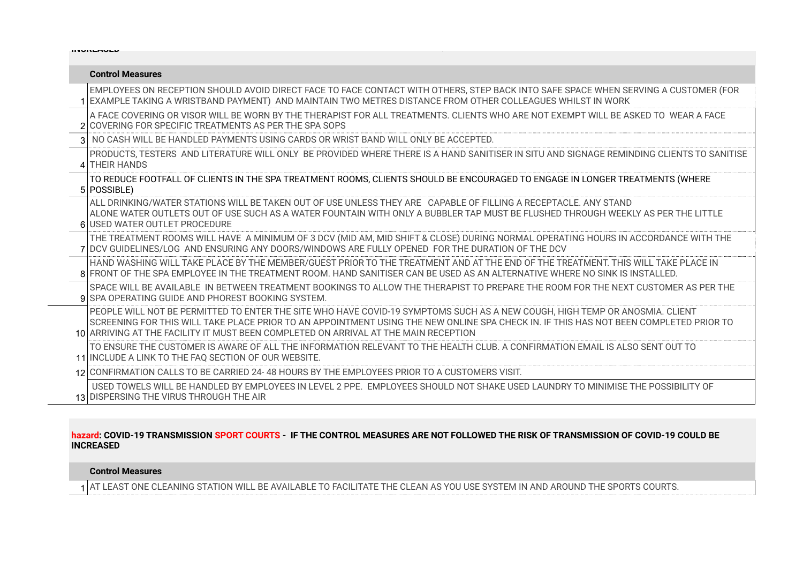| <b>IITUITLAULU</b> |                                                                                                                                                                                                                                                                                                                                                               |  |
|--------------------|---------------------------------------------------------------------------------------------------------------------------------------------------------------------------------------------------------------------------------------------------------------------------------------------------------------------------------------------------------------|--|
|                    | <b>Control Measures</b>                                                                                                                                                                                                                                                                                                                                       |  |
|                    | EMPLOYEES ON RECEPTION SHOULD AVOID DIRECT FACE TO FACE CONTACT WITH OTHERS, STEP BACK INTO SAFE SPACE WHEN SERVING A CUSTOMER (FOR<br>1 EXAMPLE TAKING A WRISTBAND PAYMENT) AND MAINTAIN TWO METRES DISTANCE FROM OTHER COLLEAGUES WHILST IN WORK                                                                                                            |  |
|                    | A FACE COVERING OR VISOR WILL BE WORN BY THE THERAPIST FOR ALL TREATMENTS. CLIENTS WHO ARE NOT EXEMPT WILL BE ASKED TO WEAR A FACE<br>2 COVERING FOR SPECIFIC TREATMENTS AS PER THE SPA SOPS                                                                                                                                                                  |  |
|                    | 3 NO CASH WILL BE HANDLED PAYMENTS USING CARDS OR WRIST BAND WILL ONLY BE ACCEPTED.                                                                                                                                                                                                                                                                           |  |
|                    | PRODUCTS, TESTERS AND LITERATURE WILL ONLY BE PROVIDED WHERE THERE IS A HAND SANITISER IN SITU AND SIGNAGE REMINDING CLIENTS TO SANITISE<br>4 THEIR HANDS                                                                                                                                                                                                     |  |
|                    | TO REDUCE FOOTFALL OF CLIENTS IN THE SPA TREATMENT ROOMS, CLIENTS SHOULD BE ENCOURAGED TO ENGAGE IN LONGER TREATMENTS (WHERE  <br>5 POSSIBLE)                                                                                                                                                                                                                 |  |
|                    | ALL DRINKING/WATER STATIONS WILL BE TAKEN OUT OF USE UNLESS THEY ARE CAPABLE OF FILLING A RECEPTACLE. ANY STAND<br>LALONE WATER OUTLETS OUT OF USE SUCH AS A WATER FOUNTAIN WITH ONLY A BUBBLER TAP MUST BE FLUSHED THROUGH WEEKLY AS PER THE LITTLE<br>6 USED WATER OUTLET PROCEDURE                                                                         |  |
|                    | THE TREATMENT ROOMS WILL HAVE A MINIMUM OF 3 DCV (MID AM, MID SHIFT & CLOSE) DURING NORMAL OPERATING HOURS IN ACCORDANCE WITH THE<br>7 DCV GUIDELINES/LOG AND ENSURING ANY DOORS/WINDOWS ARE FULLY OPENED FOR THE DURATION OF THE DCV                                                                                                                         |  |
|                    | lHAND WASHING WILL TAKE PLACE BY THE MEMBER/GUEST PRIOR TO THE TREATMENT AND AT THE END OF THE TREATMENT. THIS WILL TAKE PLACE IN<br>8 FRONT OF THE SPA EMPLOYEE IN THE TREATMENT ROOM. HAND SANITISER CAN BE USED AS AN ALTERNATIVE WHERE NO SINK IS INSTALLED.                                                                                              |  |
|                    | SPACE WILL BE AVAILABLE IN BETWEEN TREATMENT BOOKINGS TO ALLOW THE THERAPIST TO PREPARE THE ROOM FOR THE NEXT CUSTOMER AS PER THE THE<br>9 SPA OPERATING GUIDE AND PHOREST BOOKING SYSTEM.                                                                                                                                                                    |  |
|                    | PEOPLE WILL NOT BE PERMITTED TO ENTER THE SITE WHO HAVE COVID-19 SYMPTOMS SUCH AS A NEW COUGH, HIGH TEMP OR ANOSMIA. CLIENT  <br>SCREENING FOR THIS WILL TAKE PLACE PRIOR TO AN APPOINTMENT USING THE NEW ONLINE SPA CHECK IN. IF THIS HAS NOT BEEN COMPLETED PRIOR TO<br>10 ARRIVING AT THE FACILITY IT MUST BEEN COMPLETED ON ARRIVAL AT THE MAIN RECEPTION |  |
|                    | TO ENSURE THE CUSTOMER IS AWARE OF ALL THE INFORMATION RELEVANT TO THE HEALTH CLUB. A CONFIRMATION EMAIL IS ALSO SENT OUT TO<br>11 INCLUDE A LINK TO THE FAO SECTION OF OUR WEBSITE.                                                                                                                                                                          |  |
|                    | 12 CONFIRMATION CALLS TO BE CARRIED 24-48 HOURS BY THE EMPLOYEES PRIOR TO A CUSTOMERS VISIT.                                                                                                                                                                                                                                                                  |  |
|                    | USED TOWELS WILL BE HANDLED BY EMPLOYEES IN LEVEL 2 PPE. EMPLOYEES SHOULD NOT SHAKE USED LAUNDRY TO MINIMISE THE POSSIBILITY OF<br>13 DISPERSING THE VIRUS THROUGH THE AIR                                                                                                                                                                                    |  |

# **hazard: COVID-19 TRANSMISSION SPORT COURTS - IF THE CONTROL MEASURES ARE NOT FOLLOWED THE RISK OF TRANSMISSION OF COVID-19 COULD BE INCREASED**

# **Control Measures**

1 AT LEAST ONE CLEANING STATION WILL BE AVAILABLE TO FACILITATE THE CLEAN AS YOU USE SYSTEM IN AND AROUND THE SPORTS COURTS.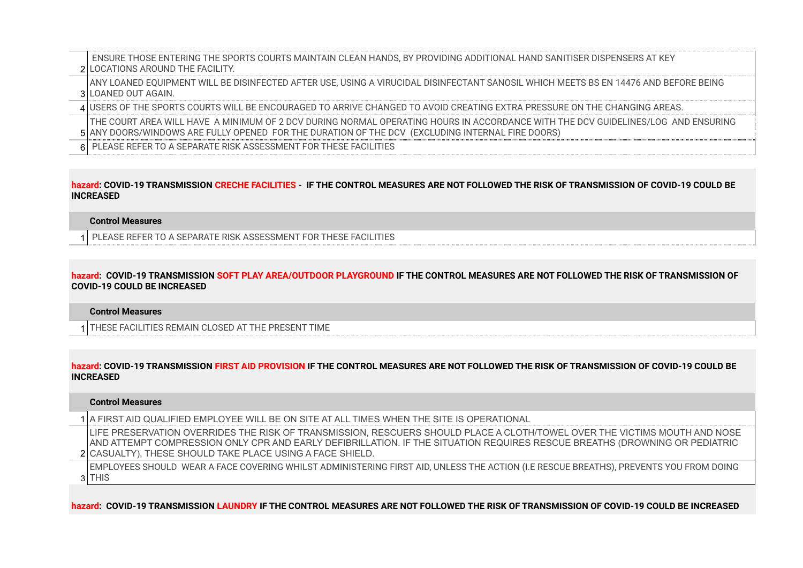2 LOCATIONS AROUND THE FACILITY. ENSURE THOSE ENTERING THE SPORTS COURTS MAINTAIN CLEAN HANDS, BY PROVIDING ADDITIONAL HAND SANITISER DISPENSERS AT KEY

3 LOANED OUT AGAIN. ANY LOANED EQUIPMENT WILL BE DISINFECTED AFTER USE, USING A VIRUCIDAL DISINFECTANT SANOSIL WHICH MEETS BS EN 14476 AND BEFORE BEING

4 USERS OF THE SPORTS COURTS WILL BE ENCOURAGED TO ARRIVE CHANGED TO AVOID CREATING EXTRA PRESSURE ON THE CHANGING AREAS.

5 ANY DOORS/WINDOWS ARE FULLY OPENED FOR THE DURATION OF THE DCV (EXCLUDING INTERNAL FIRE DOORS) THE COURT AREA WILL HAVE A MINIMUM OF 2 DCV DURING NORMAL OPERATING HOURS IN ACCORDANCE WITH THE DCV GUIDELINES/LOG AND ENSURING

6 PLEASE REFER TO A SEPARATE RISK ASSESSMENT FOR THESE FACILITIES

## **hazard: COVID-19 TRANSMISSION CRECHE FACILITIES - IF THE CONTROL MEASURES ARE NOT FOLLOWED THE RISK OF TRANSMISSION OF COVID-19 COULD BE INCREASED**

#### **Control Measures**

1 PLEASE REFER TO A SEPARATE RISK ASSESSMENT FOR THESE FACILITIES

**hazard: COVID-19 TRANSMISSION SOFT PLAY AREA/OUTDOOR PLAYGROUND IF THE CONTROL MEASURES ARE NOT FOLLOWED THE RISK OF TRANSMISSION OF COVID-19 COULD BE INCREASED**

#### **Control Measures**

1 THESE FACILITIES REMAIN CLOSED AT THE PRESENT TIME

**hazard: COVID-19 TRANSMISSION FIRST AID PROVISION IF THE CONTROL MEASURES ARE NOT FOLLOWED THE RISK OF TRANSMISSION OF COVID-19 COULD BE INCREASED**

#### **Control Measures**

1 A FIRST AID QUALIFIED EMPLOYEE WILL BE ON SITE AT ALL TIMES WHEN THE SITE IS OPERATIONAL

2 CASUALTY), THESE SHOULD TAKE PLACE USING A FACE SHIELD. LIFE PRESERVATION OVERRIDES THE RISK OF TRANSMISSION, RESCUERS SHOULD PLACE A CLOTH/TOWEL OVER THE VICTIMS MOUTH AND NOSE AND ATTEMPT COMPRESSION ONLY CPR AND EARLY DEFIBRILLATION. IF THE SITUATION REQUIRES RESCUE BREATHS (DROWNING OR PEDIATRIC

3 THIS EMPLOYEES SHOULD WEAR A FACE COVERING WHILST ADMINISTERING FIRST AID, UNLESS THE ACTION (I.E RESCUE BREATHS), PREVENTS YOU FROM DOING

**hazard: COVID-19 TRANSMISSION LAUNDRY IF THE CONTROL MEASURES ARE NOT FOLLOWED THE RISK OF TRANSMISSION OF COVID-19 COULD BE INCREASED**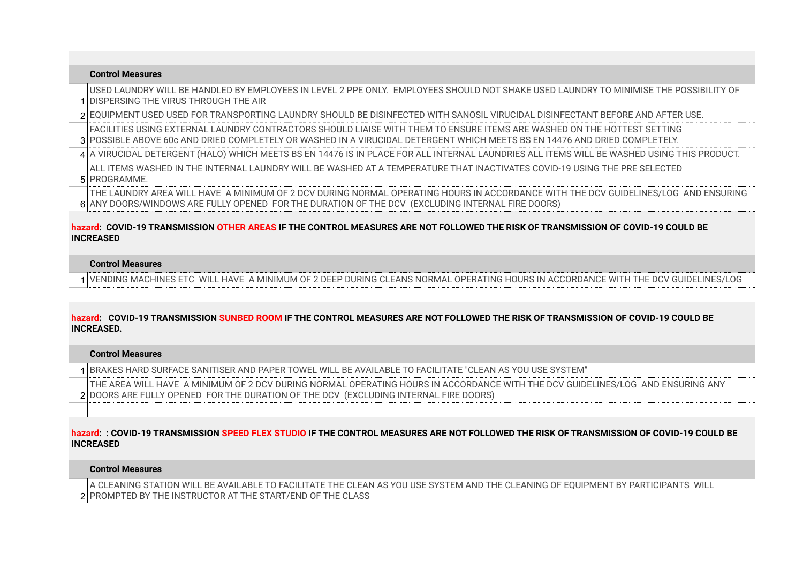| <b>Control Measures</b>                                                                                                                                                                                                                               |
|-------------------------------------------------------------------------------------------------------------------------------------------------------------------------------------------------------------------------------------------------------|
| USED LAUNDRY WILL BE HANDLED BY EMPLOYEES IN LEVEL 2 PPE ONLY. EMPLOYEES SHOULD NOT SHAKE USED LAUNDRY TO MINIMISE THE POSSIBILITY OF<br>1 IDISPERSING THE VIRUS THROUGH THE AIR                                                                      |
| 2 EQUIPMENT USED USED FOR TRANSPORTING LAUNDRY SHOULD BE DISINFECTED WITH SANOSIL VIRUCIDAL DISINFECTANT BEFORE AND AFTER USE.                                                                                                                        |
| FACILITIES USING EXTERNAL LAUNDRY CONTRACTORS SHOULD LIAISE WITH THEM TO ENSURE ITEMS ARE WASHED ON THE HOTTEST SETTING<br>3 POSSIBLE ABOVE 60c AND DRIED COMPLETELY OR WASHED IN A VIRUCIDAL DETERGENT WHICH MEETS BS EN 14476 AND DRIED COMPLETELY. |
| 4 A VIRUCIDAL DETERGENT (HALO) WHICH MEETS BS EN 14476 IS IN PLACE FOR ALL INTERNAL LAUNDRIES ALL ITEMS WILL BE WASHED USING THIS PRODUCT.                                                                                                            |
| LALL ITEMS WASHED IN THE INTERNAL LAUNDRY WILL BE WASHED AT A TEMPERATURE THAT INACTIVATES COVID-19 USING THE PRE SELECTED<br>5 PROGRAMME.                                                                                                            |
| THE LAUNDRY AREA WILL HAVE A MINIMUM OF 2 DCV DURING NORMAL OPERATING HOURS IN ACCORDANCE WITH THE DCV GUIDELINES/LOG AND ENSURING<br>6 ANY DOORS/WINDOWS ARE FULLY OPENED FOR THE DURATION OF THE DCV (EXCLUDING INTERNAL FIRE DOORS)                |

## **hazard: COVID-19 TRANSMISSION OTHER AREAS IF THE CONTROL MEASURES ARE NOT FOLLOWED THE RISK OF TRANSMISSION OF COVID-19 COULD BE INCREASED**

# **Control Measures**

1 VENDING MACHINES ETC WILL HAVE A MINIMUM OF 2 DEEP DURING CLEANS NORMAL OPERATING HOURS IN ACCORDANCE WITH THE DCV GUIDELINES/LOG

# **hazard: COVID-19 TRANSMISSION SUNBED ROOM IF THE CONTROL MEASURES ARE NOT FOLLOWED THE RISK OF TRANSMISSION OF COVID-19 COULD BE INCREASED.**

## **Control Measures**

1 BRAKES HARD SURFACE SANITISER AND PAPER TOWEL WILL BE AVAILABLE TO FACILITATE "CLEAN AS YOU USE SYSTEM"

2 DOORS ARE FULLY OPENED FOR THE DURATION OF THE DCV (EXCLUDING INTERNAL FIRE DOORS) THE AREA WILL HAVE A MINIMUM OF 2 DCV DURING NORMAL OPERATING HOURS IN ACCORDANCE WITH THE DCV GUIDELINES/LOG AND ENSURING ANY

## **hazard: : COVID-19 TRANSMISSION SPEED FLEX STUDIO IF THE CONTROL MEASURES ARE NOT FOLLOWED THE RISK OF TRANSMISSION OF COVID-19 COULD BE INCREASED**

# **Control Measures**

2 PROMPTED BY THE INSTRUCTOR AT THE START/END OF THE CLASSA CLEANING STATION WILL BE AVAILABLE TO FACILITATE THE CLEAN AS YOU USE SYSTEM AND THE CLEANING OF EQUIPMENT BY PARTICIPANTS WILL